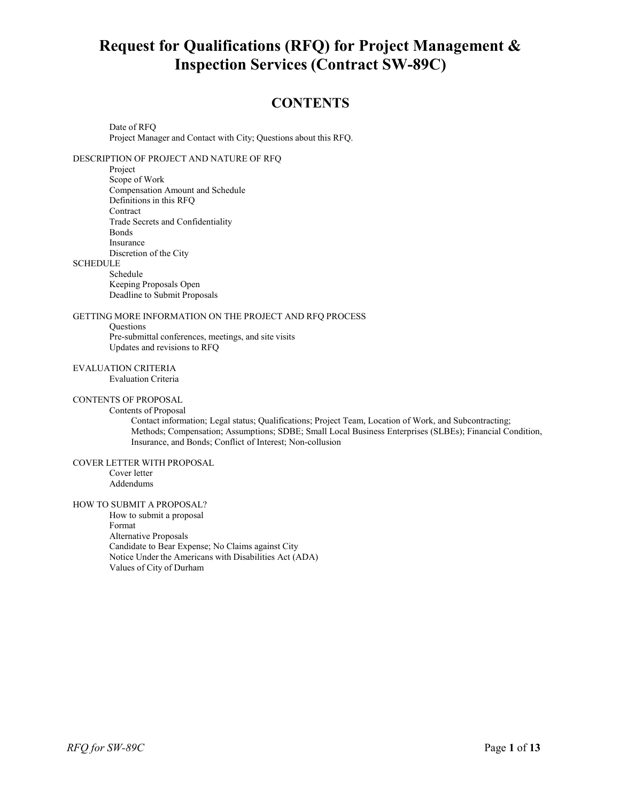# **Request for Qualifications (RFQ) for Project Management & Inspection Services (Contract SW-89C)**

# **CONTENTS**

Date of RFQ Project Manager and Contact with City; Questions about this RFQ.

## DESCRIPTION OF PROJECT AND NATURE OF RFQ

Project

Scope of Work Compensation Amount and Schedule Definitions in this RFQ Contract Trade Secrets and Confidentiality Bonds Insurance Discretion of the City

## SCHEDULE

Schedule Keeping Proposals Open Deadline to Submit Proposals

#### GETTING MORE INFORMATION ON THE PROJECT AND RFQ PROCESS

**Ouestions** Pre-submittal conferences, meetings, and site visits Updates and revisions to RFQ

## EVALUATION CRITERIA

Evaluation Criteria

#### CONTENTS OF PROPOSAL Contents of Proposal

Contact information; Legal status; Qualifications; Project Team, Location of Work, and Subcontracting; Methods; Compensation; Assumptions; SDBE; Small Local Business Enterprises (SLBEs); Financial Condition, Insurance, and Bonds; Conflict of Interest; Non-collusion

#### COVER LETTER WITH PROPOSAL

Cover letter Addendums

## HOW TO SUBMIT A PROPOSAL?

How to submit a proposal Format Alternative Proposals Candidate to Bear Expense; No Claims against City Notice Under the Americans with Disabilities Act (ADA) Values of City of Durham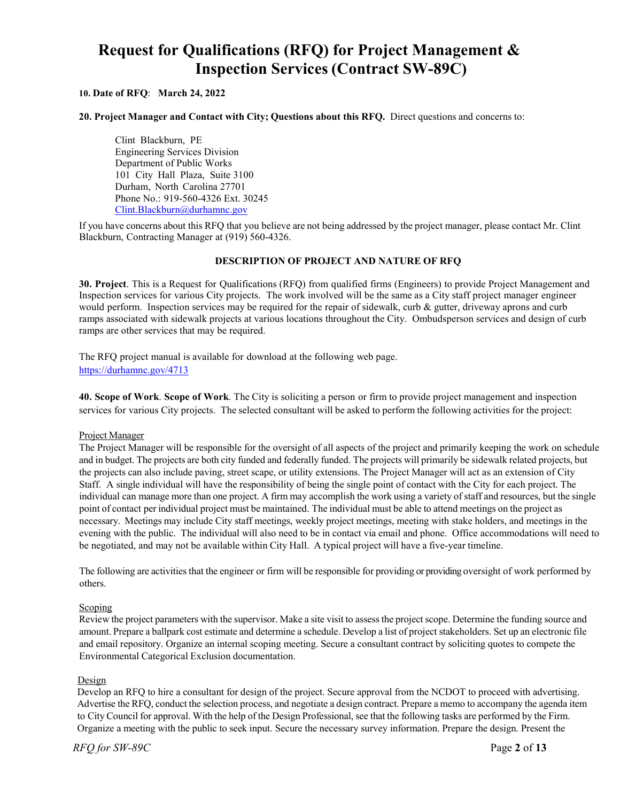# **Request for Qualifications (RFQ) for Project Management & Inspection Services (Contract SW-89C)**

## **10. Date of RFQ**: **March 24, 2022**

**20. Project Manager and Contact with City; Questions about this RFQ.** Direct questions and concerns to:

Clint Blackburn, PE Engineering Services Division Department of Public Works 101 City Hall Plaza, Suite 3100 Durham, North Carolina 27701 Phone No.: 919-560-4326 Ext. 30245 [Clint.Blackburn@durhamnc.gov](mailto:Clint.Blackburn@durhamnc.gov)

If you have concerns about this RFQ that you believe are not being addressed by the project manager, please contact Mr. Clint Blackburn, Contracting Manager at (919) 560-4326.

## **DESCRIPTION OF PROJECT AND NATURE OF RFQ**

**30. Project**. This is a Request for Qualifications (RFQ) from qualified firms (Engineers) to provide Project Management and Inspection services for various City projects. The work involved will be the same as a City staff project manager engineer would perform. Inspection services may be required for the repair of sidewalk, curb & gutter, driveway aprons and curb ramps associated with sidewalk projects at various locations throughout the City. Ombudsperson services and design of curb ramps are other services that may be required.

The RFQ project manual is available for download at the following web page. <https://durhamnc.gov/4713>

**40. Scope of Work**. **Scope of Work**. The City is soliciting a person or firm to provide project management and inspection services for various City projects. The selected consultant will be asked to perform the following activities for the project:

## Project Manager

The Project Manager will be responsible for the oversight of all aspects of the project and primarily keeping the work on schedule and in budget. The projects are both city funded and federally funded. The projects will primarily be sidewalk related projects, but the projects can also include paving, street scape, or utility extensions. The Project Manager will act as an extension of City Staff. A single individual will have the responsibility of being the single point of contact with the City for each project. The individual can manage more than one project. A firm may accomplish the work using a variety of staff and resources, but the single point of contact per individual project must be maintained. The individual must be able to attend meetings on the project as necessary. Meetings may include City staff meetings, weekly project meetings, meeting with stake holders, and meetings in the evening with the public. The individual will also need to be in contact via email and phone. Office accommodations will need to be negotiated, and may not be available within City Hall. A typical project will have a five-year timeline.

The following are activities that the engineer or firm will be responsible for providing or providing oversight of work performed by others.

#### **Scoping**

Review the project parameters with the supervisor. Make a site visit to assess the project scope. Determine the funding source and amount. Prepare a ballpark cost estimate and determine a schedule. Develop a list of project stakeholders. Set up an electronic file and email repository. Organize an internal scoping meeting. Secure a consultant contract by soliciting quotes to compete the Environmental Categorical Exclusion documentation.

#### **Design**

Develop an RFQ to hire a consultant for design of the project. Secure approval from the NCDOT to proceed with advertising. Advertise the RFQ, conduct the selection process, and negotiate a design contract. Prepare a memo to accompany the agenda item to City Council for approval. With the help of the Design Professional, see that the following tasks are performed by the Firm. Organize a meeting with the public to seek input. Secure the necessary survey information. Prepare the design. Present the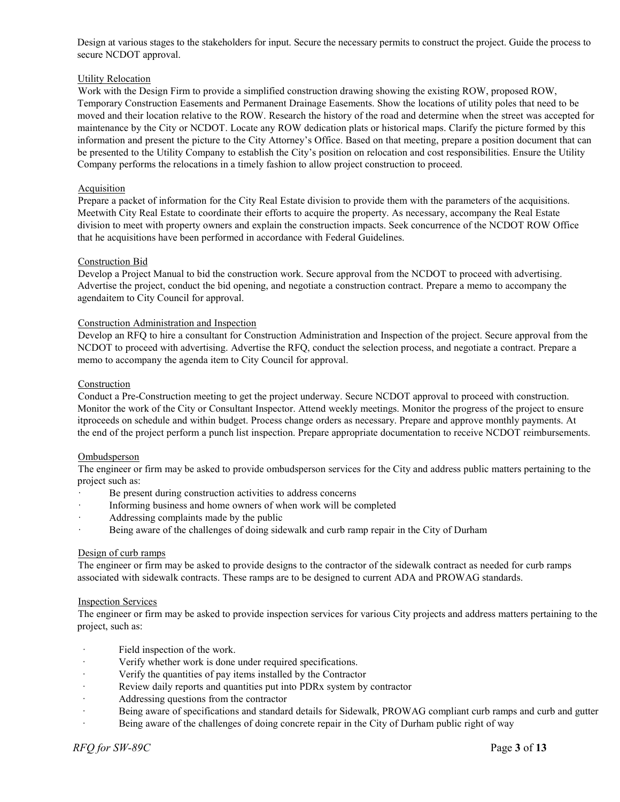Design at various stages to the stakeholders for input. Secure the necessary permits to construct the project. Guide the process to secure NCDOT approval.

## Utility Relocation

Work with the Design Firm to provide a simplified construction drawing showing the existing ROW, proposed ROW, Temporary Construction Easements and Permanent Drainage Easements. Show the locations of utility poles that need to be moved and their location relative to the ROW. Research the history of the road and determine when the street was accepted for maintenance by the City or NCDOT. Locate any ROW dedication plats or historical maps. Clarify the picture formed by this information and present the picture to the City Attorney's Office. Based on that meeting, prepare a position document that can be presented to the Utility Company to establish the City's position on relocation and cost responsibilities. Ensure the Utility Company performs the relocations in a timely fashion to allow project construction to proceed.

## **Acquisition**

Prepare a packet of information for the City Real Estate division to provide them with the parameters of the acquisitions. Meetwith City Real Estate to coordinate their efforts to acquire the property. As necessary, accompany the Real Estate division to meet with property owners and explain the construction impacts. Seek concurrence of the NCDOT ROW Office that he acquisitions have been performed in accordance with Federal Guidelines.

## Construction Bid

Develop a Project Manual to bid the construction work. Secure approval from the NCDOT to proceed with advertising. Advertise the project, conduct the bid opening, and negotiate a construction contract. Prepare a memo to accompany the agendaitem to City Council for approval.

## Construction Administration and Inspection

Develop an RFQ to hire a consultant for Construction Administration and Inspection of the project. Secure approval from the NCDOT to proceed with advertising. Advertise the RFQ, conduct the selection process, and negotiate a contract. Prepare a memo to accompany the agenda item to City Council for approval.

## Construction

Conduct a Pre-Construction meeting to get the project underway. Secure NCDOT approval to proceed with construction. Monitor the work of the City or Consultant Inspector. Attend weekly meetings. Monitor the progress of the project to ensure itproceeds on schedule and within budget. Process change orders as necessary. Prepare and approve monthly payments. At the end of the project perform a punch list inspection. Prepare appropriate documentation to receive NCDOT reimbursements.

## Ombudsperson

The engineer or firm may be asked to provide ombudsperson services for the City and address public matters pertaining to the project such as:

- Be present during construction activities to address concerns
- · Informing business and home owners of when work will be completed
- Addressing complaints made by the public
- Being aware of the challenges of doing sidewalk and curb ramp repair in the City of Durham

## Design of curb ramps

The engineer or firm may be asked to provide designs to the contractor of the sidewalk contract as needed for curb ramps associated with sidewalk contracts. These ramps are to be designed to current ADA and PROWAG standards.

## Inspection Services

The engineer or firm may be asked to provide inspection services for various City projects and address matters pertaining to the project, such as:

- · Field inspection of the work.
- Verify whether work is done under required specifications.
- Verify the quantities of pay items installed by the Contractor
- Review daily reports and quantities put into PDR<sub>x</sub> system by contractor
- Addressing questions from the contractor
- Being aware of specifications and standard details for Sidewalk, PROWAG compliant curb ramps and curb and gutter
- Being aware of the challenges of doing concrete repair in the City of Durham public right of way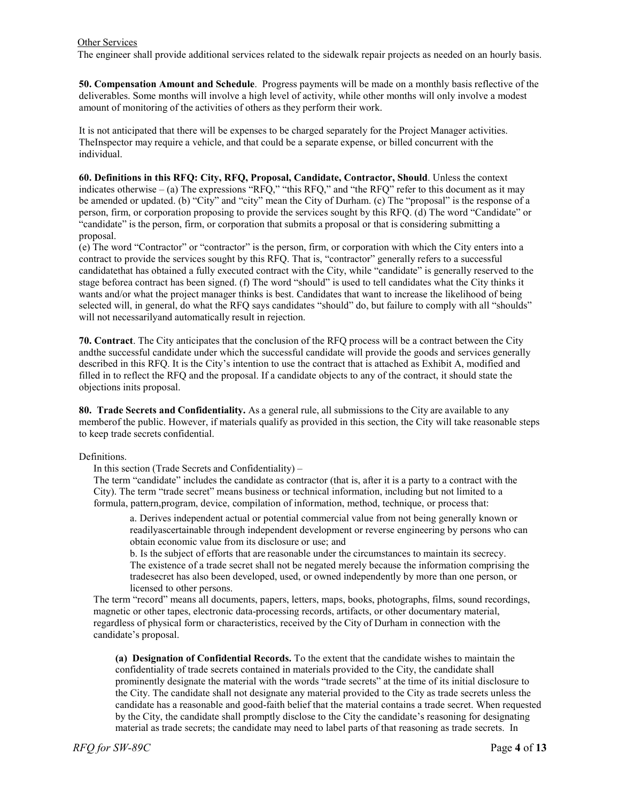#### Other Services

The engineer shall provide additional services related to the sidewalk repair projects as needed on an hourly basis.

**50. Compensation Amount and Schedule**. Progress payments will be made on a monthly basis reflective of the deliverables. Some months will involve a high level of activity, while other months will only involve a modest amount of monitoring of the activities of others as they perform their work.

It is not anticipated that there will be expenses to be charged separately for the Project Manager activities. TheInspector may require a vehicle, and that could be a separate expense, or billed concurrent with the individual.

**60. Definitions in this RFQ: City, RFQ, Proposal, Candidate, Contractor, Should**. Unless the context indicates otherwise – (a) The expressions "RFQ," "this RFQ," and "the RFQ" refer to this document as it may be amended or updated. (b) "City" and "city" mean the City of Durham. (c) The "proposal" is the response of a person, firm, or corporation proposing to provide the services sought by this RFQ. (d) The word "Candidate" or "candidate" is the person, firm, or corporation that submits a proposal or that is considering submitting a proposal.

(e) The word "Contractor" or "contractor" is the person, firm, or corporation with which the City enters into a contract to provide the services sought by this RFQ. That is, "contractor" generally refers to a successful candidatethat has obtained a fully executed contract with the City, while "candidate" is generally reserved to the stage beforea contract has been signed. (f) The word "should" is used to tell candidates what the City thinks it wants and/or what the project manager thinks is best. Candidates that want to increase the likelihood of being selected will, in general, do what the RFQ says candidates "should" do, but failure to comply with all "shoulds" will not necessarilyand automatically result in rejection.

**70. Contract**. The City anticipates that the conclusion of the RFQ process will be a contract between the City andthe successful candidate under which the successful candidate will provide the goods and services generally described in this RFQ. It is the City's intention to use the contract that is attached as Exhibit A, modified and filled in to reflect the RFQ and the proposal. If a candidate objects to any of the contract, it should state the objections inits proposal.

**80. Trade Secrets and Confidentiality.** As a general rule, all submissions to the City are available to any memberof the public. However, if materials qualify as provided in this section, the City will take reasonable steps to keep trade secrets confidential.

#### Definitions.

In this section (Trade Secrets and Confidentiality) –

The term "candidate" includes the candidate as contractor (that is, after it is a party to a contract with the City). The term "trade secret" means business or technical information, including but not limited to a formula, pattern,program, device, compilation of information, method, technique, or process that:

a. Derives independent actual or potential commercial value from not being generally known or readilyascertainable through independent development or reverse engineering by persons who can obtain economic value from its disclosure or use; and

b. Is the subject of efforts that are reasonable under the circumstances to maintain its secrecy. The existence of a trade secret shall not be negated merely because the information comprising the tradesecret has also been developed, used, or owned independently by more than one person, or licensed to other persons.

The term "record" means all documents, papers, letters, maps, books, photographs, films, sound recordings, magnetic or other tapes, electronic data-processing records, artifacts, or other documentary material, regardless of physical form or characteristics, received by the City of Durham in connection with the candidate's proposal.

**(a) Designation of Confidential Records.** To the extent that the candidate wishes to maintain the confidentiality of trade secrets contained in materials provided to the City, the candidate shall prominently designate the material with the words "trade secrets" at the time of its initial disclosure to the City. The candidate shall not designate any material provided to the City as trade secrets unless the candidate has a reasonable and good-faith belief that the material contains a trade secret. When requested by the City, the candidate shall promptly disclose to the City the candidate's reasoning for designating material as trade secrets; the candidate may need to label parts of that reasoning as trade secrets. In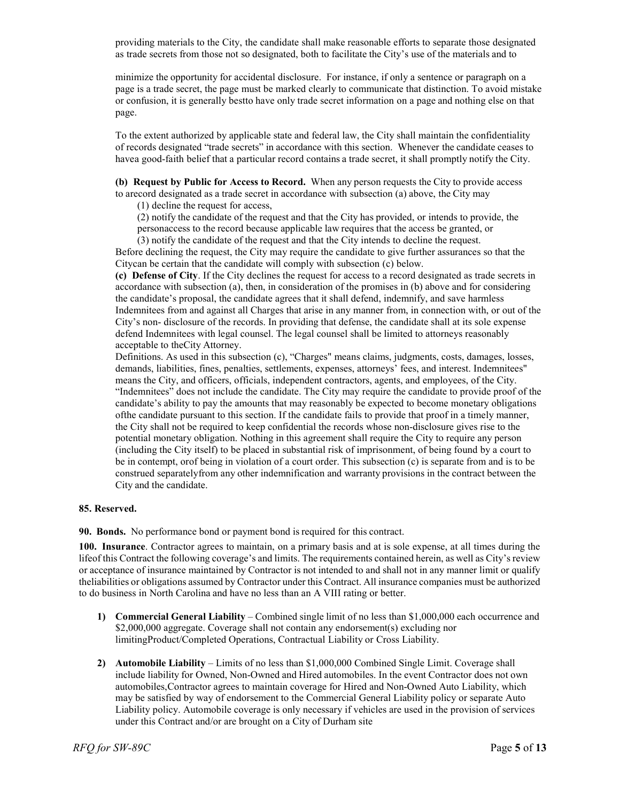providing materials to the City, the candidate shall make reasonable efforts to separate those designated as trade secrets from those not so designated, both to facilitate the City's use of the materials and to

minimize the opportunity for accidental disclosure. For instance, if only a sentence or paragraph on a page is a trade secret, the page must be marked clearly to communicate that distinction. To avoid mistake or confusion, it is generally bestto have only trade secret information on a page and nothing else on that page.

To the extent authorized by applicable state and federal law, the City shall maintain the confidentiality of records designated "trade secrets" in accordance with this section. Whenever the candidate ceases to havea good-faith belief that a particular record contains a trade secret, it shall promptly notify the City.

**(b) Request by Public for Access to Record.** When any person requests the City to provide access to arecord designated as a trade secret in accordance with subsection (a) above, the City may

(1) decline the request for access,

(2) notify the candidate of the request and that the City has provided, or intends to provide, the personaccess to the record because applicable law requires that the access be granted, or

(3) notify the candidate of the request and that the City intends to decline the request. Before declining the request, the City may require the candidate to give further assurances so that the Citycan be certain that the candidate will comply with subsection (c) below.

**(c) Defense of City**. If the City declines the request for access to a record designated as trade secrets in accordance with subsection (a), then, in consideration of the promises in (b) above and for considering the candidate's proposal, the candidate agrees that it shall defend, indemnify, and save harmless Indemnitees from and against all Charges that arise in any manner from, in connection with, or out of the City's non- disclosure of the records. In providing that defense, the candidate shall at its sole expense defend Indemnitees with legal counsel. The legal counsel shall be limited to attorneys reasonably acceptable to theCity Attorney.

Definitions. As used in this subsection (c), "Charges" means claims, judgments, costs, damages, losses, demands, liabilities, fines, penalties, settlements, expenses, attorneys' fees, and interest. Indemnitees" means the City, and officers, officials, independent contractors, agents, and employees, of the City. "Indemnitees" does not include the candidate. The City may require the candidate to provide proof of the candidate's ability to pay the amounts that may reasonably be expected to become monetary obligations ofthe candidate pursuant to this section. If the candidate fails to provide that proof in a timely manner, the City shall not be required to keep confidential the records whose non-disclosure gives rise to the potential monetary obligation. Nothing in this agreement shall require the City to require any person (including the City itself) to be placed in substantial risk of imprisonment, of being found by a court to be in contempt, orof being in violation of a court order. This subsection (c) is separate from and is to be construed separatelyfrom any other indemnification and warranty provisions in the contract between the City and the candidate.

## **85. Reserved.**

**90. Bonds.** No performance bond or payment bond isrequired for this contract.

**100. Insurance**. Contractor agrees to maintain, on a primary basis and at is sole expense, at all times during the lifeof this Contract the following coverage's and limits. The requirements contained herein, as well as City's review or acceptance of insurance maintained by Contractor is not intended to and shall not in any manner limit or qualify theliabilities or obligations assumed by Contractor under this Contract. All insurance companies must be authorized to do business in North Carolina and have no less than an A VIII rating or better.

- **1) Commercial General Liability** Combined single limit of no less than \$1,000,000 each occurrence and \$2,000,000 aggregate. Coverage shall not contain any endorsement(s) excluding nor limitingProduct/Completed Operations, Contractual Liability or Cross Liability.
- **2) Automobile Liability**  Limits of no less than \$1,000,000 Combined Single Limit. Coverage shall include liability for Owned, Non-Owned and Hired automobiles. In the event Contractor does not own automobiles,Contractor agrees to maintain coverage for Hired and Non-Owned Auto Liability, which may be satisfied by way of endorsement to the Commercial General Liability policy or separate Auto Liability policy. Automobile coverage is only necessary if vehicles are used in the provision of services under this Contract and/or are brought on a City of Durham site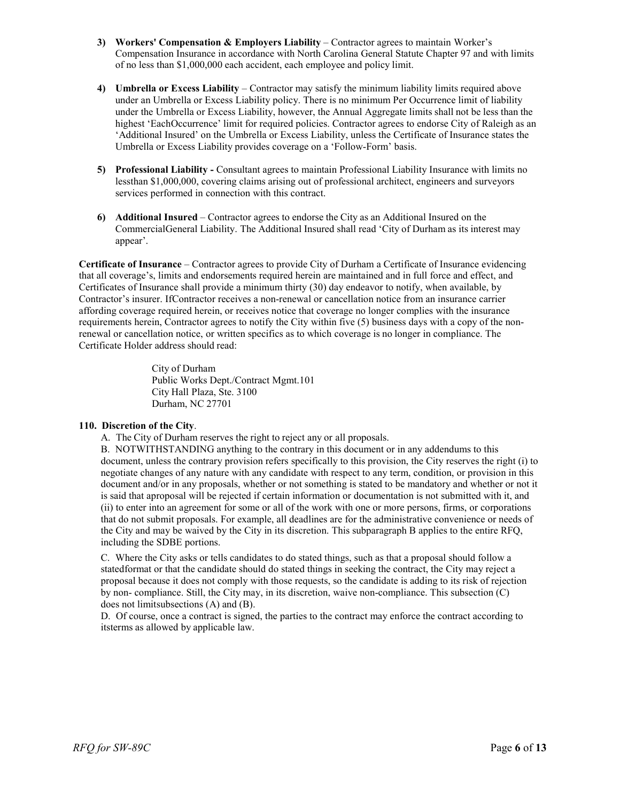- **3) Workers' Compensation & Employers Liability** Contractor agrees to maintain Worker's Compensation Insurance in accordance with North Carolina General Statute Chapter 97 and with limits of no less than \$1,000,000 each accident, each employee and policy limit.
- **4) Umbrella or Excess Liability**  Contractor may satisfy the minimum liability limits required above under an Umbrella or Excess Liability policy. There is no minimum Per Occurrence limit of liability under the Umbrella or Excess Liability, however, the Annual Aggregate limits shall not be less than the highest 'EachOccurrence' limit for required policies. Contractor agrees to endorse City of Raleigh as an 'Additional Insured' on the Umbrella or Excess Liability, unless the Certificate of Insurance states the Umbrella or Excess Liability provides coverage on a 'Follow-Form' basis.
- **5) Professional Liability -** Consultant agrees to maintain Professional Liability Insurance with limits no lessthan \$1,000,000, covering claims arising out of professional architect, engineers and surveyors services performed in connection with this contract.
- **6) Additional Insured** Contractor agrees to endorse the City as an Additional Insured on the CommercialGeneral Liability. The Additional Insured shall read 'City of Durham as its interest may appear'.

**Certificate of Insurance** – Contractor agrees to provide City of Durham a Certificate of Insurance evidencing that all coverage's, limits and endorsements required herein are maintained and in full force and effect, and Certificates of Insurance shall provide a minimum thirty (30) day endeavor to notify, when available, by Contractor's insurer. IfContractor receives a non-renewal or cancellation notice from an insurance carrier affording coverage required herein, or receives notice that coverage no longer complies with the insurance requirements herein, Contractor agrees to notify the City within five (5) business days with a copy of the nonrenewal or cancellation notice, or written specifics as to which coverage is no longer in compliance. The Certificate Holder address should read:

> City of Durham Public Works Dept./Contract Mgmt.101 City Hall Plaza, Ste. 3100 Durham, NC 27701

## **110. Discretion of the City**.

A. The City of Durham reserves the right to reject any or all proposals.

B. NOTWITHSTANDING anything to the contrary in this document or in any addendums to this document, unless the contrary provision refers specifically to this provision, the City reserves the right (i) to negotiate changes of any nature with any candidate with respect to any term, condition, or provision in this document and/or in any proposals, whether or not something is stated to be mandatory and whether or not it is said that aproposal will be rejected if certain information or documentation is not submitted with it, and (ii) to enter into an agreement for some or all of the work with one or more persons, firms, or corporations that do not submit proposals. For example, all deadlines are for the administrative convenience or needs of the City and may be waived by the City in its discretion. This subparagraph B applies to the entire RFQ, including the SDBE portions.

C. Where the City asks or tells candidates to do stated things, such as that a proposal should follow a statedformat or that the candidate should do stated things in seeking the contract, the City may reject a proposal because it does not comply with those requests, so the candidate is adding to its risk of rejection by non- compliance. Still, the City may, in its discretion, waive non-compliance. This subsection (C) does not limitsubsections (A) and (B).

D. Of course, once a contract is signed, the parties to the contract may enforce the contract according to itsterms as allowed by applicable law.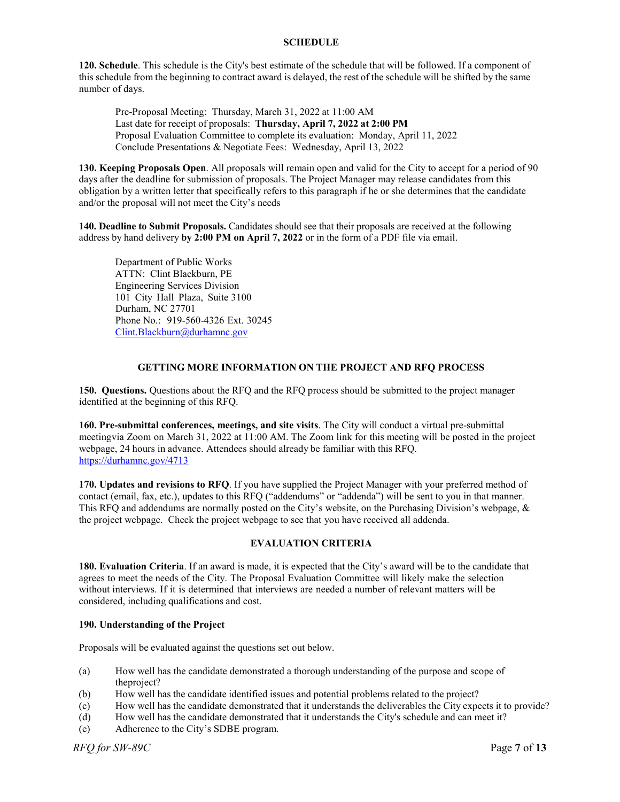## **SCHEDULE**

**120. Schedule**. This schedule is the City's best estimate of the schedule that will be followed. If a component of this schedule from the beginning to contract award is delayed, the rest of the schedule will be shifted by the same number of days.

Pre-Proposal Meeting: Thursday, March 31, 2022 at 11:00 AM Last date for receipt of proposals: **Thursday, April 7, 2022 at 2:00 PM** Proposal Evaluation Committee to complete its evaluation: Monday, April 11, 2022 Conclude Presentations & Negotiate Fees: Wednesday, April 13, 2022

**130. Keeping Proposals Open**. All proposals will remain open and valid for the City to accept for a period of 90 days after the deadline for submission of proposals. The Project Manager may release candidates from this obligation by a written letter that specifically refers to this paragraph if he or she determines that the candidate and/or the proposal will not meet the City's needs

**140. Deadline to Submit Proposals.** Candidates should see that their proposals are received at the following address by hand delivery **by 2:00 PM on April 7, 2022** or in the form of a PDF file via email.

Department of Public Works ATTN: Clint Blackburn, PE Engineering Services Division 101 City Hall Plaza, Suite 3100 Durham, NC 27701 Phone No.: 919-560-4326 Ext. 30245 [Clint.Blackburn@durhamnc.gov](mailto:Kitty.Thomas@durhamnc.gov)

## **GETTING MORE INFORMATION ON THE PROJECT AND RFQ PROCESS**

**150. Questions.** Questions about the RFQ and the RFQ process should be submitted to the project manager identified at the beginning of this RFQ.

**160. Pre-submittal conferences, meetings, and site visits**. The City will conduct a virtual pre-submittal meetingvia Zoom on March 31, 2022 at 11:00 AM. The Zoom link for this meeting will be posted in the project webpage, 24 hours in advance. Attendees should already be familiar with this RFQ. <https://durhamnc.gov/4713>

**170. Updates and revisions to RFQ**. If you have supplied the Project Manager with your preferred method of contact (email, fax, etc.), updates to this RFQ ("addendums" or "addenda") will be sent to you in that manner. This RFQ and addendums are normally posted on the City's website, on the Purchasing Division's webpage, & the project webpage. Check the project webpage to see that you have received all addenda.

## **EVALUATION CRITERIA**

**180. Evaluation Criteria**. If an award is made, it is expected that the City's award will be to the candidate that agrees to meet the needs of the City. The Proposal Evaluation Committee will likely make the selection without interviews. If it is determined that interviews are needed a number of relevant matters will be considered, including qualifications and cost.

## **190. Understanding of the Project**

Proposals will be evaluated against the questions set out below.

- (a) How well has the candidate demonstrated a thorough understanding of the purpose and scope of theproject?
- (b) How well has the candidate identified issues and potential problems related to the project?
- (c) How well has the candidate demonstrated that it understands the deliverables the City expects it to provide?
- (d) How well has the candidate demonstrated that it understands the City's schedule and can meet it?
- (e) Adherence to the City's SDBE program.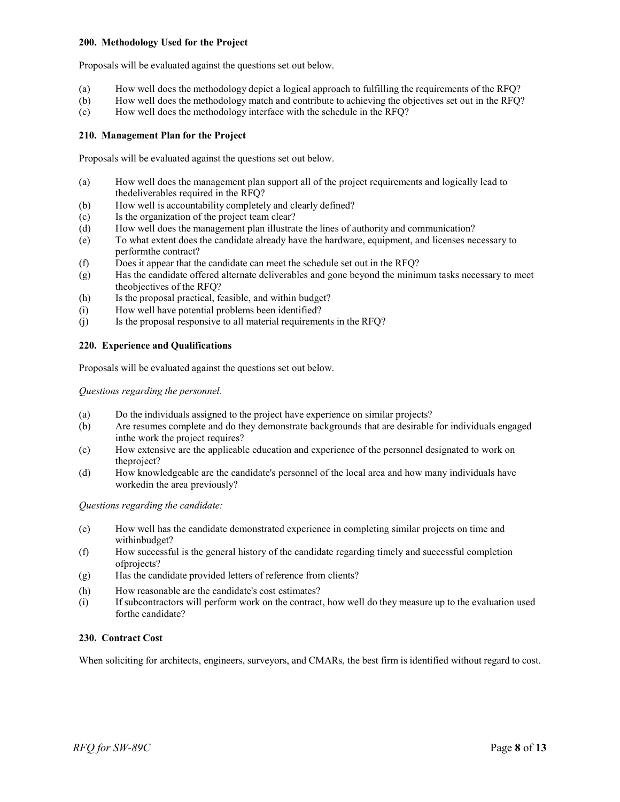## **200. Methodology Used for the Project**

Proposals will be evaluated against the questions set out below.

- (a) How well does the methodology depict a logical approach to fulfilling the requirements of the RFQ?
- (b) How well does the methodology match and contribute to achieving the objectives set out in the RFQ?
- (c) How well does the methodology interface with the schedule in the RFQ?

## **210. Management Plan for the Project**

Proposals will be evaluated against the questions set out below.

- (a) How well does the management plan support all of the project requirements and logically lead to thedeliverables required in the RFQ?
- (b) How well is accountability completely and clearly defined?
- (c) Is the organization of the project team clear?
- (d) How well does the management plan illustrate the lines of authority and communication?
- (e) To what extent does the candidate already have the hardware, equipment, and licenses necessary to performthe contract?
- (f) Does it appear that the candidate can meet the schedule set out in the RFQ?
- (g) Has the candidate offered alternate deliverables and gone beyond the minimum tasks necessary to meet theobjectives of the RFQ?
- (h) Is the proposal practical, feasible, and within budget?
- (i) How well have potential problems been identified?
- (j) Is the proposal responsive to all material requirements in the RFQ?

## **220. Experience and Qualifications**

Proposals will be evaluated against the questions set out below.

*Questions regarding the personnel.*

- (a) Do the individuals assigned to the project have experience on similar projects?
- (b) Are resumes complete and do they demonstrate backgrounds that are desirable for individuals engaged inthe work the project requires?
- (c) How extensive are the applicable education and experience of the personnel designated to work on theproject?
- (d) How knowledgeable are the candidate's personnel of the local area and how many individuals have workedin the area previously?

*Questions regarding the candidate:*

- (e) How well has the candidate demonstrated experience in completing similar projects on time and withinbudget?
- (f) How successful is the general history of the candidate regarding timely and successful completion ofprojects?
- (g) Has the candidate provided letters of reference from clients?
- (h) How reasonable are the candidate's cost estimates?
- (i) If subcontractors will perform work on the contract, how well do they measure up to the evaluation used forthe candidate?

## **230. Contract Cost**

When soliciting for architects, engineers, surveyors, and CMARs, the best firm is identified without regard to cost.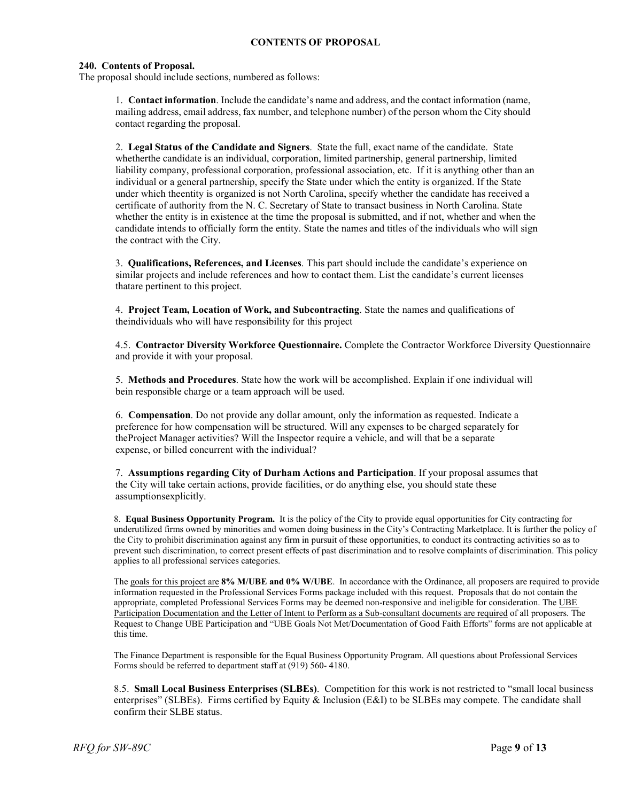## **CONTENTS OF PROPOSAL**

#### **240. Contents of Proposal.**

The proposal should include sections, numbered as follows:

1. **Contact information**. Include the candidate's name and address, and the contact information (name, mailing address, email address, fax number, and telephone number) of the person whom the City should contact regarding the proposal.

2. **Legal Status of the Candidate and Signers**. State the full, exact name of the candidate. State whetherthe candidate is an individual, corporation, limited partnership, general partnership, limited liability company, professional corporation, professional association, etc. If it is anything other than an individual or a general partnership, specify the State under which the entity is organized. If the State under which theentity is organized is not North Carolina, specify whether the candidate has received a certificate of authority from the N. C. Secretary of State to transact business in North Carolina. State whether the entity is in existence at the time the proposal is submitted, and if not, whether and when the candidate intends to officially form the entity. State the names and titles of the individuals who will sign the contract with the City.

3. **Qualifications, References, and Licenses**. This part should include the candidate's experience on similar projects and include references and how to contact them. List the candidate's current licenses thatare pertinent to this project.

4. **Project Team, Location of Work, and Subcontracting**. State the names and qualifications of theindividuals who will have responsibility for this project

4.5. **Contractor Diversity Workforce Questionnaire.** Complete the Contractor Workforce Diversity Questionnaire and provide it with your proposal.

5. **Methods and Procedures**. State how the work will be accomplished. Explain if one individual will bein responsible charge or a team approach will be used.

6. **Compensation**. Do not provide any dollar amount, only the information as requested. Indicate a preference for how compensation will be structured. Will any expenses to be charged separately for theProject Manager activities? Will the Inspector require a vehicle, and will that be a separate expense, or billed concurrent with the individual?

7. **Assumptions regarding City of Durham Actions and Participation**. If your proposal assumes that the City will take certain actions, provide facilities, or do anything else, you should state these assumptionsexplicitly.

8. **Equal Business Opportunity Program.** It is the policy of the City to provide equal opportunities for City contracting for underutilized firms owned by minorities and women doing business in the City's Contracting Marketplace. It is further the policy of the City to prohibit discrimination against any firm in pursuit of these opportunities, to conduct its contracting activities so as to prevent such discrimination, to correct present effects of past discrimination and to resolve complaints of discrimination. This policy applies to all professional services categories.

The goals for this project are **8% M/UBE and 0% W/UBE**. In accordance with the Ordinance, all proposers are required to provide information requested in the Professional Services Forms package included with this request. Proposals that do not contain the appropriate, completed Professional Services Forms may be deemed non-responsive and ineligible for consideration. The UBE Participation Documentation and the Letter of Intent to Perform as a Sub-consultant documents are required of all proposers. The Request to Change UBE Participation and "UBE Goals Not Met/Documentation of Good Faith Efforts" forms are not applicable at this time.

The Finance Department is responsible for the Equal Business Opportunity Program. All questions about Professional Services Forms should be referred to department staff at (919) 560- 4180.

8.5. **Small Local Business Enterprises (SLBEs)**. Competition for this work is not restricted to "small local business enterprises" (SLBEs). Firms certified by Equity & Inclusion (E&I) to be SLBEs may compete. The candidate shall confirm their SLBE status.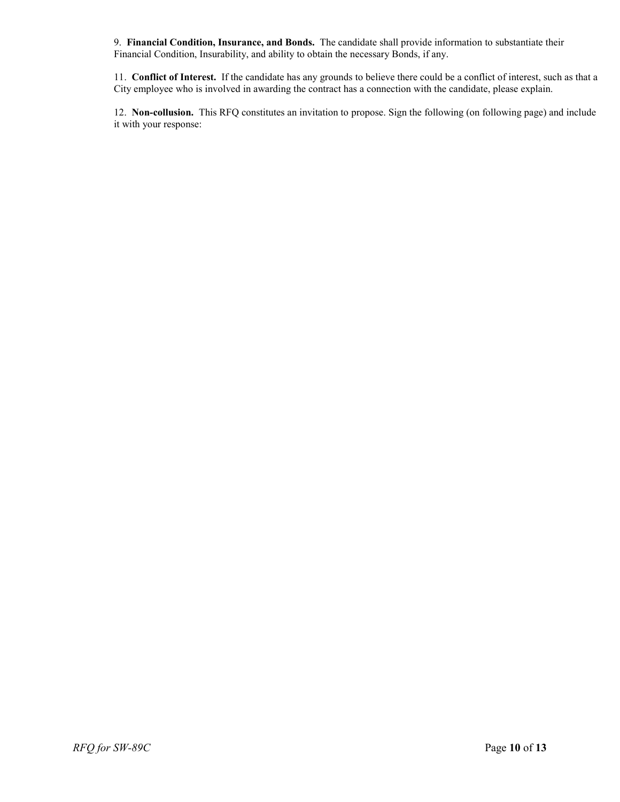9. **Financial Condition, Insurance, and Bonds.** The candidate shall provide information to substantiate their Financial Condition, Insurability, and ability to obtain the necessary Bonds, if any.

11. **Conflict of Interest.** If the candidate has any grounds to believe there could be a conflict of interest, such as that a City employee who is involved in awarding the contract has a connection with the candidate, please explain.

12. **Non-collusion.** This RFQ constitutes an invitation to propose. Sign the following (on following page) and include it with your response: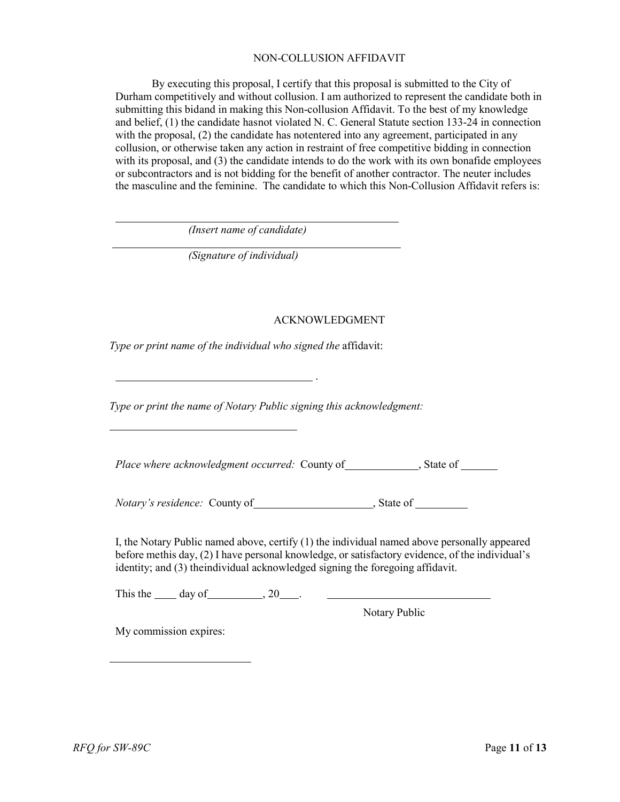## NON-COLLUSION AFFIDAVIT

By executing this proposal, I certify that this proposal is submitted to the City of Durham competitively and without collusion. I am authorized to represent the candidate both in submitting this bidand in making this Non-collusion Affidavit. To the best of my knowledge and belief, (1) the candidate hasnot violated N. C. General Statute section 133-24 in connection with the proposal, (2) the candidate has notentered into any agreement, participated in any collusion, or otherwise taken any action in restraint of free competitive bidding in connection with its proposal, and (3) the candidate intends to do the work with its own bonafide employees or subcontractors and is not bidding for the benefit of another contractor. The neuter includes the masculine and the feminine. The candidate to which this Non-Collusion Affidavit refers is:

*(Insert name of candidate)*

*(Signature of individual)*

# ACKNOWLEDGMENT

*Type or print name of the individual who signed the* affidavit:

*Type or print the name of Notary Public signing this acknowledgment:*

.

*Place where acknowledgment occurred:* County of  $\qquad \qquad$ , State of  $\qquad \qquad$ 

*Notary's residence:* County of , State of

I, the Notary Public named above, certify (1) the individual named above personally appeared before methis day, (2) I have personal knowledge, or satisfactory evidence, of the individual's identity; and (3) theindividual acknowledged signing the foregoing affidavit.

This the  $\_\_\_$  day of  $\_\_\_\_$ , 20  $\_\_\_\_\_\_\_\_\_\_\_\_\_$ 

Notary Public

My commission expires: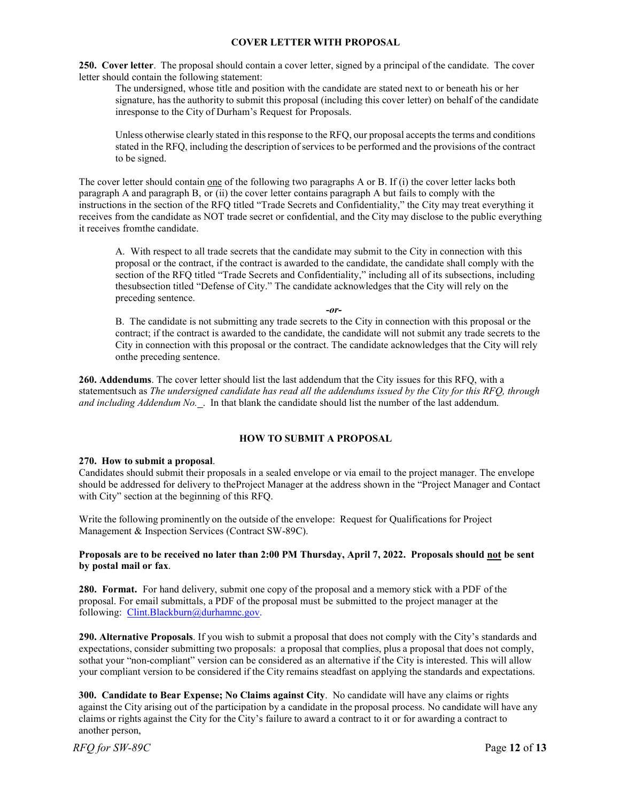## **COVER LETTER WITH PROPOSAL**

**250. Cover letter**. The proposal should contain a cover letter, signed by a principal of the candidate. The cover letter should contain the following statement:

The undersigned, whose title and position with the candidate are stated next to or beneath his or her signature, has the authority to submit this proposal (including this cover letter) on behalf of the candidate inresponse to the City of Durham's Request for Proposals.

Unless otherwise clearly stated in this response to the RFQ, our proposal accepts the terms and conditions stated in the RFQ, including the description of services to be performed and the provisions of the contract to be signed.

The cover letter should contain one of the following two paragraphs A or B. If (i) the cover letter lacks both paragraph A and paragraph B, or (ii) the cover letter contains paragraph A but fails to comply with the instructions in the section of the RFQ titled "Trade Secrets and Confidentiality," the City may treat everything it receives from the candidate as NOT trade secret or confidential, and the City may disclose to the public everything it receives fromthe candidate.

A. With respect to all trade secrets that the candidate may submit to the City in connection with this proposal or the contract, if the contract is awarded to the candidate, the candidate shall comply with the section of the RFQ titled "Trade Secrets and Confidentiality," including all of its subsections, including thesubsection titled "Defense of City." The candidate acknowledges that the City will rely on the preceding sentence.

*-or-*

B. The candidate is not submitting any trade secrets to the City in connection with this proposal or the contract; if the contract is awarded to the candidate, the candidate will not submit any trade secrets to the City in connection with this proposal or the contract. The candidate acknowledges that the City will rely onthe preceding sentence.

**260. Addendums**. The cover letter should list the last addendum that the City issues for this RFQ, with a statementsuch as *The undersigned candidate has read all the addendums issued by the City for this RFQ, through and including Addendum No.* . In that blank the candidate should list the number of the last addendum.

## **HOW TO SUBMIT A PROPOSAL**

## **270. How to submit a proposal**.

Candidates should submit their proposals in a sealed envelope or via email to the project manager. The envelope should be addressed for delivery to theProject Manager at the address shown in the "Project Manager and Contact with City" section at the beginning of this RFQ.

Write the following prominently on the outside of the envelope: Request for Qualifications for Project Management & Inspection Services (Contract SW-89C).

## **Proposals are to be received no later than 2:00 PM Thursday, April 7, 2022. Proposals should not be sent by postal mail or fax**.

**280. Format.** For hand delivery, submit one copy of the proposal and a memory stick with a PDF of the proposal. For email submittals, a PDF of the proposal must be submitted to the project manager at the following: Clint.Blackburn@durhamnc.gov.

**290. Alternative Proposals**. If you wish to submit a proposal that does not comply with the City's standards and expectations, consider submitting two proposals: a proposal that complies, plus a proposal that does not comply, sothat your "non-compliant" version can be considered as an alternative if the City is interested. This will allow your compliant version to be considered if the City remains steadfast on applying the standards and expectations.

**300. Candidate to Bear Expense; No Claims against City**. No candidate will have any claims or rights against the City arising out of the participation by a candidate in the proposal process. No candidate will have any claims or rights against the City for the City's failure to award a contract to it or for awarding a contract to another person,

*RFQ for SW-89C* Page **12** of **13**